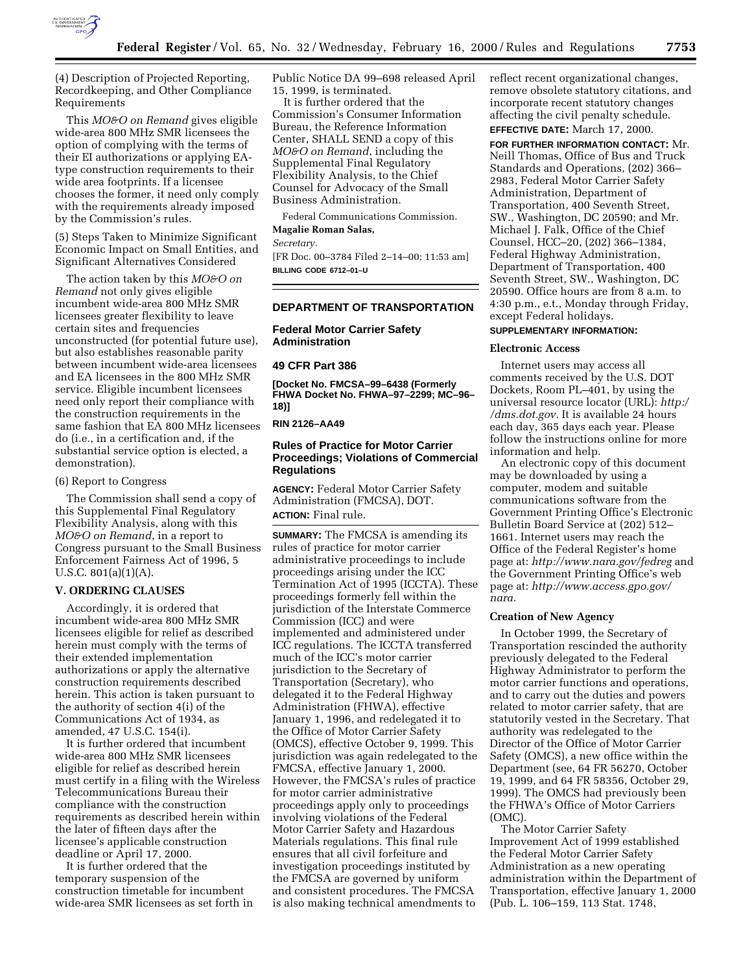

(4) Description of Projected Reporting, Recordkeeping, and Other Compliance Requirements

This *MO&O on Remand* gives eligible wide-area 800 MHz SMR licensees the option of complying with the terms of their EI authorizations or applying EAtype construction requirements to their wide area footprints. If a licensee chooses the former, it need only comply with the requirements already imposed by the Commission's rules.

(5) Steps Taken to Minimize Significant Economic Impact on Small Entities, and Significant Alternatives Considered

The action taken by this *MO&O on Remand* not only gives eligible incumbent wide-area 800 MHz SMR licensees greater flexibility to leave certain sites and frequencies unconstructed (for potential future use), but also establishes reasonable parity between incumbent wide-area licensees and EA licensees in the 800 MHz SMR service. Eligible incumbent licensees need only report their compliance with the construction requirements in the same fashion that EA 800 MHz licensees do (i.e., in a certification and, if the substantial service option is elected, a demonstration).

#### (6) Report to Congress

The Commission shall send a copy of this Supplemental Final Regulatory Flexibility Analysis, along with this *MO&O on Remand*, in a report to Congress pursuant to the Small Business Enforcement Fairness Act of 1996, 5 U.S.C. 801(a)(1)(A).

## **V. ORDERING CLAUSES**

Accordingly, it is ordered that incumbent wide-area 800 MHz SMR licensees eligible for relief as described herein must comply with the terms of their extended implementation authorizations or apply the alternative construction requirements described herein. This action is taken pursuant to the authority of section 4(i) of the Communications Act of 1934, as amended, 47 U.S.C. 154(i).

It is further ordered that incumbent wide-area 800 MHz SMR licensees eligible for relief as described herein must certify in a filing with the Wireless Telecommunications Bureau their compliance with the construction requirements as described herein within the later of fifteen days after the licensee's applicable construction deadline or April 17, 2000.

It is further ordered that the temporary suspension of the construction timetable for incumbent wide-area SMR licensees as set forth in Public Notice DA 99–698 released April 15, 1999, is terminated.

It is further ordered that the Commission's Consumer Information Bureau, the Reference Information Center, SHALL SEND a copy of this *MO&O on Remand*, including the Supplemental Final Regulatory Flexibility Analysis, to the Chief Counsel for Advocacy of the Small Business Administration.

Federal Communications Commission. **Magalie Roman Salas,**

# *Secretary.*

[FR Doc. 00–3784 Filed 2–14–00; 11:53 am]

**BILLING CODE 6712–01–U**

#### **DEPARTMENT OF TRANSPORTATION**

## **Federal Motor Carrier Safety Administration**

#### **49 CFR Part 386**

**[Docket No. FMCSA–99–6438 (Formerly FHWA Docket No. FHWA–97–2299; MC–96– 18)]**

#### **RIN 2126–AA49**

## **Rules of Practice for Motor Carrier Proceedings; Violations of Commercial Regulations**

**AGENCY:** Federal Motor Carrier Safety Administration (FMCSA), DOT. **ACTION:** Final rule.

**SUMMARY:** The FMCSA is amending its rules of practice for motor carrier administrative proceedings to include proceedings arising under the ICC Termination Act of 1995 (ICCTA). These proceedings formerly fell within the jurisdiction of the Interstate Commerce Commission (ICC) and were implemented and administered under ICC regulations. The ICCTA transferred much of the ICC's motor carrier jurisdiction to the Secretary of Transportation (Secretary), who delegated it to the Federal Highway Administration (FHWA), effective January 1, 1996, and redelegated it to the Office of Motor Carrier Safety (OMCS), effective October 9, 1999. This jurisdiction was again redelegated to the FMCSA, effective January 1, 2000. However, the FMCSA's rules of practice for motor carrier administrative proceedings apply only to proceedings involving violations of the Federal Motor Carrier Safety and Hazardous Materials regulations. This final rule ensures that all civil forfeiture and investigation proceedings instituted by the FMCSA are governed by uniform and consistent procedures. The FMCSA is also making technical amendments to

reflect recent organizational changes, remove obsolete statutory citations, and incorporate recent statutory changes affecting the civil penalty schedule.

**EFFECTIVE DATE:** March 17, 2000.

**FOR FURTHER INFORMATION CONTACT:** Mr. Neill Thomas, Office of Bus and Truck Standards and Operations, (202) 366– 2983, Federal Motor Carrier Safety Administration, Department of Transportation, 400 Seventh Street, SW., Washington, DC 20590; and Mr. Michael J. Falk, Office of the Chief Counsel, HCC–20, (202) 366–1384, Federal Highway Administration, Department of Transportation, 400 Seventh Street, SW., Washington, DC 20590. Office hours are from 8 a.m. to 4:30 p.m., e.t., Monday through Friday, except Federal holidays.

## **SUPPLEMENTARY INFORMATION:**

#### **Electronic Access**

Internet users may access all comments received by the U.S. DOT Dockets, Room PL–401, by using the universal resource locator (URL): *http:/ /dms.dot.gov.* It is available 24 hours each day, 365 days each year. Please follow the instructions online for more information and help.

An electronic copy of this document may be downloaded by using a computer, modem and suitable communications software from the Government Printing Office's Electronic Bulletin Board Service at (202) 512– 1661. Internet users may reach the Office of the Federal Register's home page at: *http://www.nara.gov/fedreg* and the Government Printing Office's web page at: *http://www.access.gpo.gov/ nara.*

#### **Creation of New Agency**

In October 1999, the Secretary of Transportation rescinded the authority previously delegated to the Federal Highway Administrator to perform the motor carrier functions and operations, and to carry out the duties and powers related to motor carrier safety, that are statutorily vested in the Secretary. That authority was redelegated to the Director of the Office of Motor Carrier Safety (OMCS), a new office within the Department (see, 64 FR 56270, October 19, 1999, and 64 FR 58356, October 29, 1999). The OMCS had previously been the FHWA's Office of Motor Carriers (OMC).

The Motor Carrier Safety Improvement Act of 1999 established the Federal Motor Carrier Safety Administration as a new operating administration within the Department of Transportation, effective January 1, 2000 (Pub. L. 106–159, 113 Stat. 1748,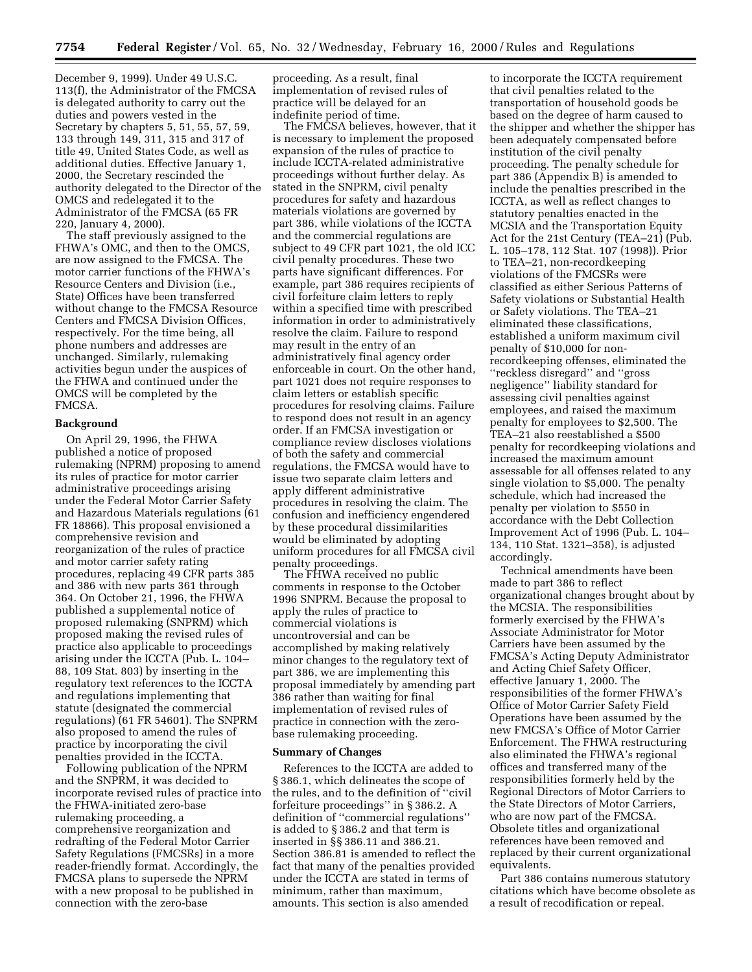December 9, 1999). Under 49 U.S.C. 113(f), the Administrator of the FMCSA is delegated authority to carry out the duties and powers vested in the Secretary by chapters 5, 51, 55, 57, 59, 133 through 149, 311, 315 and 317 of title 49, United States Code, as well as additional duties. Effective January 1, 2000, the Secretary rescinded the authority delegated to the Director of the OMCS and redelegated it to the Administrator of the FMCSA (65 FR 220, January 4, 2000).

The staff previously assigned to the FHWA's OMC, and then to the OMCS, are now assigned to the FMCSA. The motor carrier functions of the FHWA's Resource Centers and Division (i.e., State) Offices have been transferred without change to the FMCSA Resource Centers and FMCSA Division Offices, respectively. For the time being, all phone numbers and addresses are unchanged. Similarly, rulemaking activities begun under the auspices of the FHWA and continued under the OMCS will be completed by the FMCSA.

#### **Background**

On April 29, 1996, the FHWA published a notice of proposed rulemaking (NPRM) proposing to amend its rules of practice for motor carrier administrative proceedings arising under the Federal Motor Carrier Safety and Hazardous Materials regulations (61 FR 18866). This proposal envisioned a comprehensive revision and reorganization of the rules of practice and motor carrier safety rating procedures, replacing 49 CFR parts 385 and 386 with new parts 361 through 364. On October 21, 1996, the FHWA published a supplemental notice of proposed rulemaking (SNPRM) which proposed making the revised rules of practice also applicable to proceedings arising under the ICCTA (Pub. L. 104– 88, 109 Stat. 803) by inserting in the regulatory text references to the ICCTA and regulations implementing that statute (designated the commercial regulations) (61 FR 54601). The SNPRM also proposed to amend the rules of practice by incorporating the civil penalties provided in the ICCTA.

Following publication of the NPRM and the SNPRM, it was decided to incorporate revised rules of practice into the FHWA-initiated zero-base rulemaking proceeding, a comprehensive reorganization and redrafting of the Federal Motor Carrier Safety Regulations (FMCSRs) in a more reader-friendly format. Accordingly, the FMCSA plans to supersede the NPRM with a new proposal to be published in connection with the zero-base

proceeding. As a result, final implementation of revised rules of practice will be delayed for an indefinite period of time.

The FMCSA believes, however, that it is necessary to implement the proposed expansion of the rules of practice to include ICCTA-related administrative proceedings without further delay. As stated in the SNPRM, civil penalty procedures for safety and hazardous materials violations are governed by part 386, while violations of the ICCTA and the commercial regulations are subject to 49 CFR part 1021, the old ICC civil penalty procedures. These two parts have significant differences. For example, part 386 requires recipients of civil forfeiture claim letters to reply within a specified time with prescribed information in order to administratively resolve the claim. Failure to respond may result in the entry of an administratively final agency order enforceable in court. On the other hand, part 1021 does not require responses to claim letters or establish specific procedures for resolving claims. Failure to respond does not result in an agency order. If an FMCSA investigation or compliance review discloses violations of both the safety and commercial regulations, the FMCSA would have to issue two separate claim letters and apply different administrative procedures in resolving the claim. The confusion and inefficiency engendered by these procedural dissimilarities would be eliminated by adopting uniform procedures for all FMCSA civil penalty proceedings.

The FHWA received no public comments in response to the October 1996 SNPRM. Because the proposal to apply the rules of practice to commercial violations is uncontroversial and can be accomplished by making relatively minor changes to the regulatory text of part 386, we are implementing this proposal immediately by amending part 386 rather than waiting for final implementation of revised rules of practice in connection with the zerobase rulemaking proceeding.

#### **Summary of Changes**

References to the ICCTA are added to § 386.1, which delineates the scope of the rules, and to the definition of ''civil forfeiture proceedings'' in § 386.2. A definition of ''commercial regulations'' is added to § 386.2 and that term is inserted in §§ 386.11 and 386.21. Section 386.81 is amended to reflect the fact that many of the penalties provided under the ICCTA are stated in terms of minimum, rather than maximum, amounts. This section is also amended

to incorporate the ICCTA requirement that civil penalties related to the transportation of household goods be based on the degree of harm caused to the shipper and whether the shipper has been adequately compensated before institution of the civil penalty proceeding. The penalty schedule for part 386 (Appendix B) is amended to include the penalties prescribed in the ICCTA, as well as reflect changes to statutory penalties enacted in the MCSIA and the Transportation Equity Act for the 21st Century (TEA–21) (Pub. L. 105–178, 112 Stat. 107 (1998)). Prior to TEA–21, non-recordkeeping violations of the FMCSRs were classified as either Serious Patterns of Safety violations or Substantial Health or Safety violations. The TEA–21 eliminated these classifications, established a uniform maximum civil penalty of \$10,000 for nonrecordkeeping offenses, eliminated the ''reckless disregard'' and ''gross negligence'' liability standard for assessing civil penalties against employees, and raised the maximum penalty for employees to \$2,500. The TEA–21 also reestablished a \$500 penalty for recordkeeping violations and increased the maximum amount assessable for all offenses related to any single violation to \$5,000. The penalty schedule, which had increased the penalty per violation to \$550 in accordance with the Debt Collection Improvement Act of 1996 (Pub. L. 104– 134, 110 Stat. 1321–358), is adjusted accordingly.

Technical amendments have been made to part 386 to reflect organizational changes brought about by the MCSIA. The responsibilities formerly exercised by the FHWA's Associate Administrator for Motor Carriers have been assumed by the FMCSA's Acting Deputy Administrator and Acting Chief Safety Officer, effective January 1, 2000. The responsibilities of the former FHWA's Office of Motor Carrier Safety Field Operations have been assumed by the new FMCSA's Office of Motor Carrier Enforcement. The FHWA restructuring also eliminated the FHWA's regional offices and transferred many of the responsibilities formerly held by the Regional Directors of Motor Carriers to the State Directors of Motor Carriers, who are now part of the FMCSA. Obsolete titles and organizational references have been removed and replaced by their current organizational equivalents.

Part 386 contains numerous statutory citations which have become obsolete as a result of recodification or repeal.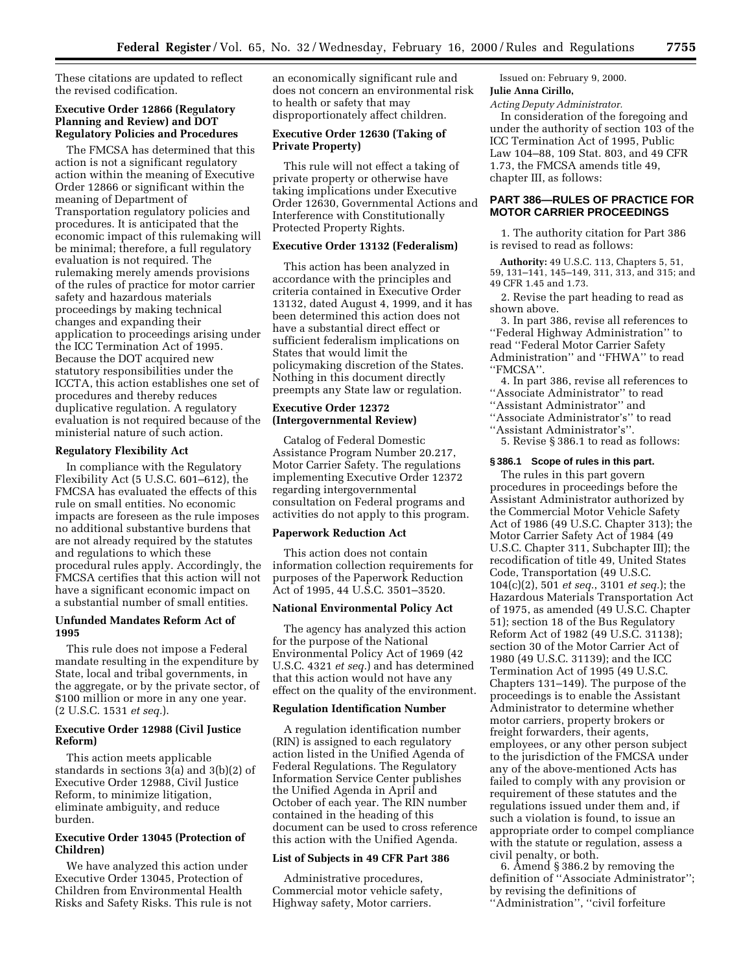These citations are updated to reflect the revised codification.

## **Executive Order 12866 (Regulatory Planning and Review) and DOT Regulatory Policies and Procedures**

The FMCSA has determined that this action is not a significant regulatory action within the meaning of Executive Order 12866 or significant within the meaning of Department of Transportation regulatory policies and procedures. It is anticipated that the economic impact of this rulemaking will be minimal; therefore, a full regulatory evaluation is not required. The rulemaking merely amends provisions of the rules of practice for motor carrier safety and hazardous materials proceedings by making technical changes and expanding their application to proceedings arising under the ICC Termination Act of 1995. Because the DOT acquired new statutory responsibilities under the ICCTA, this action establishes one set of procedures and thereby reduces duplicative regulation. A regulatory evaluation is not required because of the ministerial nature of such action.

#### **Regulatory Flexibility Act**

In compliance with the Regulatory Flexibility Act (5 U.S.C. 601–612), the FMCSA has evaluated the effects of this rule on small entities. No economic impacts are foreseen as the rule imposes no additional substantive burdens that are not already required by the statutes and regulations to which these procedural rules apply. Accordingly, the FMCSA certifies that this action will not have a significant economic impact on a substantial number of small entities.

## **Unfunded Mandates Reform Act of 1995**

This rule does not impose a Federal mandate resulting in the expenditure by State, local and tribal governments, in the aggregate, or by the private sector, of \$100 million or more in any one year. (2 U.S.C. 1531 *et seq.*).

# **Executive Order 12988 (Civil Justice Reform)**

This action meets applicable standards in sections 3(a) and 3(b)(2) of Executive Order 12988, Civil Justice Reform, to minimize litigation, eliminate ambiguity, and reduce burden.

# **Executive Order 13045 (Protection of Children)**

We have analyzed this action under Executive Order 13045, Protection of Children from Environmental Health Risks and Safety Risks. This rule is not an economically significant rule and does not concern an environmental risk to health or safety that may disproportionately affect children.

# **Executive Order 12630 (Taking of Private Property)**

This rule will not effect a taking of private property or otherwise have taking implications under Executive Order 12630, Governmental Actions and Interference with Constitutionally Protected Property Rights.

## **Executive Order 13132 (Federalism)**

This action has been analyzed in accordance with the principles and criteria contained in Executive Order 13132, dated August 4, 1999, and it has been determined this action does not have a substantial direct effect or sufficient federalism implications on States that would limit the policymaking discretion of the States. Nothing in this document directly preempts any State law or regulation.

## **Executive Order 12372 (Intergovernmental Review)**

Catalog of Federal Domestic Assistance Program Number 20.217, Motor Carrier Safety. The regulations implementing Executive Order 12372 regarding intergovernmental consultation on Federal programs and activities do not apply to this program.

#### **Paperwork Reduction Act**

This action does not contain information collection requirements for purposes of the Paperwork Reduction Act of 1995, 44 U.S.C. 3501–3520.

#### **National Environmental Policy Act**

The agency has analyzed this action for the purpose of the National Environmental Policy Act of 1969 (42 U.S.C. 4321 *et seq.*) and has determined that this action would not have any effect on the quality of the environment.

#### **Regulation Identification Number**

A regulation identification number (RIN) is assigned to each regulatory action listed in the Unified Agenda of Federal Regulations. The Regulatory Information Service Center publishes the Unified Agenda in April and October of each year. The RIN number contained in the heading of this document can be used to cross reference this action with the Unified Agenda.

### **List of Subjects in 49 CFR Part 386**

Administrative procedures, Commercial motor vehicle safety, Highway safety, Motor carriers.

Issued on: February 9, 2000.

**Julie Anna Cirillo,**

*Acting Deputy Administrator.*

In consideration of the foregoing and under the authority of section 103 of the ICC Termination Act of 1995, Public Law 104–88, 109 Stat. 803, and 49 CFR 1.73, the FMCSA amends title 49, chapter III, as follows:

## **PART 386—RULES OF PRACTICE FOR MOTOR CARRIER PROCEEDINGS**

1. The authority citation for Part 386 is revised to read as follows:

**Authority:** 49 U.S.C. 113, Chapters 5, 51, 59, 131–141, 145–149, 311, 313, and 315; and 49 CFR 1.45 and 1.73.

2. Revise the part heading to read as shown above.

3. In part 386, revise all references to ''Federal Highway Administration'' to read ''Federal Motor Carrier Safety Administration'' and ''FHWA'' to read ''FMCSA''.

4. In part 386, revise all references to

"Associate Administrator" to read

''Assistant Administrator'' and

''Associate Administrator's'' to read

''Assistant Administrator's''.

5. Revise § 386.1 to read as follows:

### **§ 386.1 Scope of rules in this part.**

The rules in this part govern procedures in proceedings before the Assistant Administrator authorized by the Commercial Motor Vehicle Safety Act of 1986 (49 U.S.C. Chapter 313); the Motor Carrier Safety Act of 1984 (49 U.S.C. Chapter 311, Subchapter III); the recodification of title 49, United States Code, Transportation (49 U.S.C. 104(c)(2), 501 *et seq.*, 3101 *et seq.*); the Hazardous Materials Transportation Act of 1975, as amended (49 U.S.C. Chapter 51); section 18 of the Bus Regulatory Reform Act of 1982 (49 U.S.C. 31138); section 30 of the Motor Carrier Act of 1980 (49 U.S.C. 31139); and the ICC Termination Act of 1995 (49 U.S.C. Chapters 131–149). The purpose of the proceedings is to enable the Assistant Administrator to determine whether motor carriers, property brokers or freight forwarders, their agents, employees, or any other person subject to the jurisdiction of the FMCSA under any of the above-mentioned Acts has failed to comply with any provision or requirement of these statutes and the regulations issued under them and, if such a violation is found, to issue an appropriate order to compel compliance with the statute or regulation, assess a civil penalty, or both.

6. Amend § 386.2 by removing the definition of ''Associate Administrator''; by revising the definitions of ''Administration'', ''civil forfeiture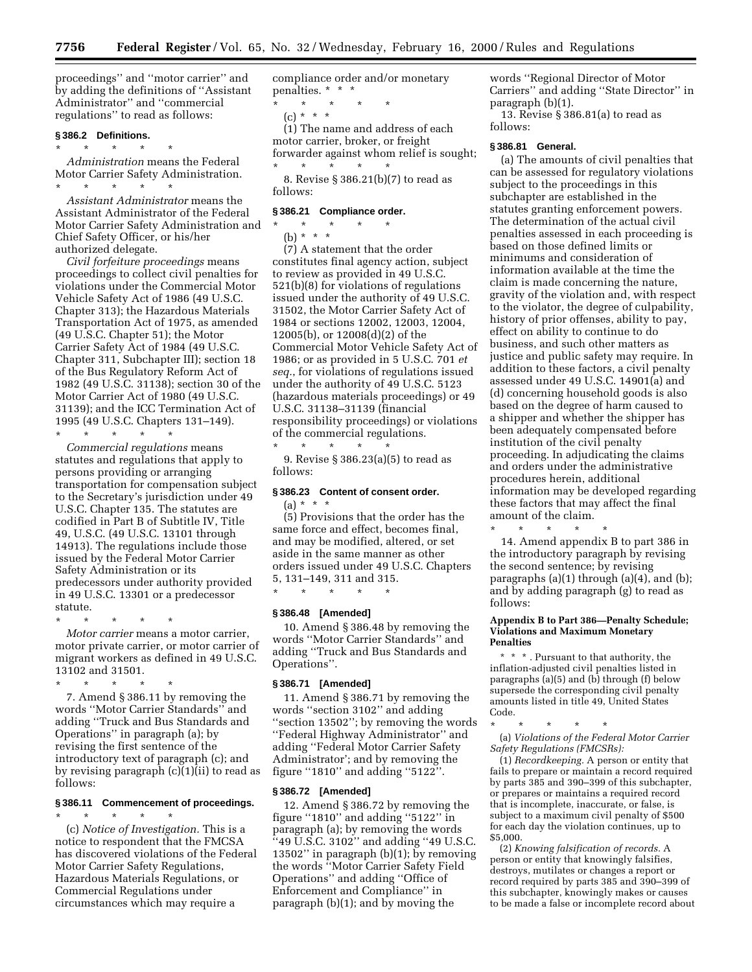proceedings'' and ''motor carrier'' and by adding the definitions of ''Assistant Administrator'' and ''commercial regulations'' to read as follows:

#### **§ 386.2 Definitions.**

\* \* \* \* \* *Administration* means the Federal Motor Carrier Safety Administration. \* \* \* \* \*

*Assistant Administrator* means the Assistant Administrator of the Federal Motor Carrier Safety Administration and Chief Safety Officer, or his/her authorized delegate.

*Civil forfeiture proceedings* means proceedings to collect civil penalties for violations under the Commercial Motor Vehicle Safety Act of 1986 (49 U.S.C. Chapter 313); the Hazardous Materials Transportation Act of 1975, as amended (49 U.S.C. Chapter 51); the Motor Carrier Safety Act of 1984 (49 U.S.C. Chapter 311, Subchapter III); section 18 of the Bus Regulatory Reform Act of 1982 (49 U.S.C. 31138); section 30 of the Motor Carrier Act of 1980 (49 U.S.C. 31139); and the ICC Termination Act of 1995 (49 U.S.C. Chapters 131–149).

\* \* \* \* \*

*Commercial regulations* means statutes and regulations that apply to persons providing or arranging transportation for compensation subject to the Secretary's jurisdiction under 49 U.S.C. Chapter 135. The statutes are codified in Part B of Subtitle IV, Title 49, U.S.C. (49 U.S.C. 13101 through 14913). The regulations include those issued by the Federal Motor Carrier Safety Administration or its predecessors under authority provided in 49 U.S.C. 13301 or a predecessor statute.

\* \* \* \* \*

follows:

*Motor carrier* means a motor carrier, motor private carrier, or motor carrier of migrant workers as defined in 49 U.S.C. 13102 and 31501.

\* \* \* \* \* 7. Amend § 386.11 by removing the words ''Motor Carrier Standards'' and adding ''Truck and Bus Standards and Operations'' in paragraph (a); by revising the first sentence of the introductory text of paragraph (c); and by revising paragraph (c)(1)(ii) to read as

# **§ 386.11 Commencement of proceedings.**

\* \* \* \* \* (c) *Notice of Investigation.* This is a notice to respondent that the FMCSA has discovered violations of the Federal

Motor Carrier Safety Regulations, Hazardous Materials Regulations, or Commercial Regulations under circumstances which may require a

compliance order and/or monetary penalties. \* \* \*

\* \* \* \* \* (c) \* \* \*

(1) The name and address of each motor carrier, broker, or freight forwarder against whom relief is sought; \* \* \* \* \*

8. Revise § 386.21(b)(7) to read as follows:

#### **§ 386.21 Compliance order.**

\* \* \* \* \* (b) \* \* \*

(7) A statement that the order constitutes final agency action, subject to review as provided in 49 U.S.C. 521(b)(8) for violations of regulations issued under the authority of 49 U.S.C. 31502, the Motor Carrier Safety Act of 1984 or sections 12002, 12003, 12004, 12005(b), or 12008(d)(2) of the Commercial Motor Vehicle Safety Act of 1986; or as provided in 5 U.S.C. 701 *et seq.*, for violations of regulations issued under the authority of 49 U.S.C. 5123 (hazardous materials proceedings) or 49 U.S.C. 31138–31139 (financial responsibility proceedings) or violations of the commercial regulations. \* \* \* \* \*

9. Revise § 386.23(a)(5) to read as follows:

# **§ 386.23 Content of consent order.**

 $(a) * * * *$ (5) Provisions that the order has the same force and effect, becomes final, and may be modified, altered, or set aside in the same manner as other orders issued under 49 U.S.C. Chapters 5, 131–149, 311 and 315.

## **§ 386.48 [Amended]**

\* \* \* \* \*

10. Amend § 386.48 by removing the words ''Motor Carrier Standards'' and adding ''Truck and Bus Standards and Operations''.

#### **§ 386.71 [Amended]**

11. Amend § 386.71 by removing the words ''section 3102'' and adding ''section 13502''; by removing the words ''Federal Highway Administrator'' and adding ''Federal Motor Carrier Safety Administrator'; and by removing the figure ''1810'' and adding ''5122''.

#### **§ 386.72 [Amended]**

12. Amend § 386.72 by removing the figure ''1810'' and adding ''5122'' in paragraph (a); by removing the words ''49 U.S.C. 3102'' and adding ''49 U.S.C. 13502'' in paragraph (b)(1); by removing the words ''Motor Carrier Safety Field Operations'' and adding ''Office of Enforcement and Compliance'' in paragraph (b)(1); and by moving the

words ''Regional Director of Motor Carriers'' and adding ''State Director'' in paragraph (b)(1).

13. Revise § 386.81(a) to read as follows:

#### **§ 386.81 General.**

(a) The amounts of civil penalties that can be assessed for regulatory violations subject to the proceedings in this subchapter are established in the statutes granting enforcement powers. The determination of the actual civil penalties assessed in each proceeding is based on those defined limits or minimums and consideration of information available at the time the claim is made concerning the nature, gravity of the violation and, with respect to the violator, the degree of culpability, history of prior offenses, ability to pay, effect on ability to continue to do business, and such other matters as justice and public safety may require. In addition to these factors, a civil penalty assessed under 49 U.S.C. 14901(a) and (d) concerning household goods is also based on the degree of harm caused to a shipper and whether the shipper has been adequately compensated before institution of the civil penalty proceeding. In adjudicating the claims and orders under the administrative procedures herein, additional information may be developed regarding these factors that may affect the final amount of the claim.

\* \* \* \* \*

14. Amend appendix B to part 386 in the introductory paragraph by revising the second sentence; by revising paragraphs (a)(1) through (a)(4), and (b); and by adding paragraph (g) to read as follows:

#### **Appendix B to Part 386—Penalty Schedule; Violations and Maximum Monetary Penalties**

\* \* \* . Pursuant to that authority, the inflation-adjusted civil penalties listed in paragraphs  $(a)(5)$  and  $(b)$  through  $(f)$  below supersede the corresponding civil penalty amounts listed in title 49, United States Code.

\* \* \* \* \*

(a) *Violations of the Federal Motor Carrier Safety Regulations (FMCSRs):*

(1) *Recordkeeping.* A person or entity that fails to prepare or maintain a record required by parts 385 and 390–399 of this subchapter, or prepares or maintains a required record that is incomplete, inaccurate, or false, is subject to a maximum civil penalty of \$500 for each day the violation continues, up to \$5,000.

(2) *Knowing falsification of records.* A person or entity that knowingly falsifies, destroys, mutilates or changes a report or record required by parts 385 and 390–399 of this subchapter, knowingly makes or causes to be made a false or incomplete record about